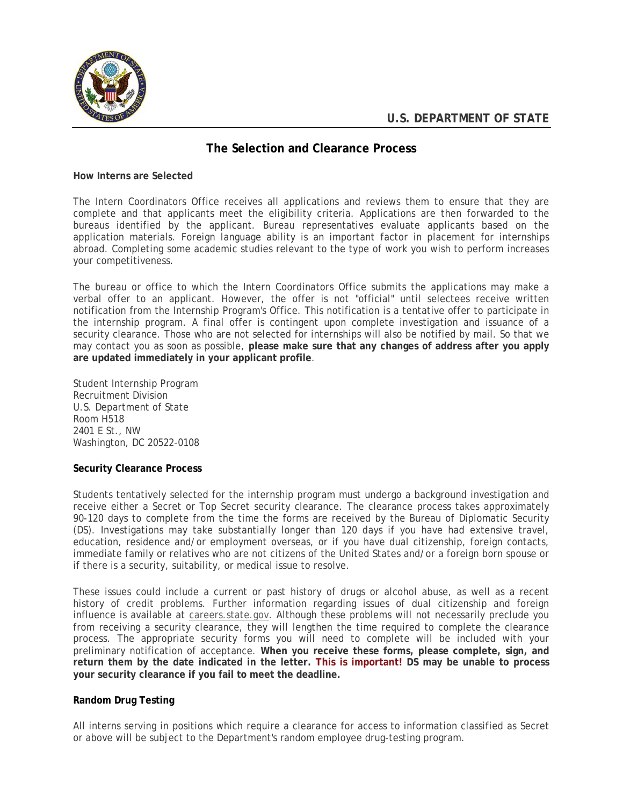

# **The Selection and Clearance Process**

#### **How Interns are Selected**

The Intern Coordinators Office receives all applications and reviews them to ensure that they are complete and that applicants meet the eligibility criteria. Applications are then forwarded to the bureaus identified by the applicant. Bureau representatives evaluate applicants based on the application materials. Foreign language ability is an important factor in placement for internships abroad. Completing some academic studies relevant to the type of work you wish to perform increases your competitiveness.

The bureau or office to which the Intern Coordinators Office submits the applications may make a verbal offer to an applicant. However, the offer is not "official" until selectees receive written notification from the Internship Program's Office. This notification is a tentative offer to participate in the internship program. A final offer is contingent upon complete investigation and issuance of a security clearance. Those who are not selected for internships will also be notified by mail. So that we may contact you as soon as possible, **please make sure that any changes of address after you apply are updated immediately in your applicant profile**.

Student Internship Program Recruitment Division U.S. Department of State Room H518 2401 E St., NW Washington, DC 20522-0108

## **Security Clearance Process**

Students tentatively selected for the internship program must undergo a background investigation and receive either a Secret or Top Secret security clearance. The clearance process takes approximately 90-120 days to complete from the time the forms are received by the Bureau of Diplomatic Security (DS). Investigations may take substantially longer than 120 days if you have had extensive travel, education, residence and/or employment overseas, or if you have dual citizenship, foreign contacts, immediate family or relatives who are not citizens of the United States and/or a foreign born spouse or if there is a security, suitability, or medical issue to resolve.

These issues could include a current or past history of drugs or alcohol abuse, as well as a recent history of credit problems. Further information regarding issues of dual citizenship and foreign influence is available at [careers.state.gov](http://careers.state.gov/). Although these problems will not necessarily preclude you from receiving a security clearance, they will lengthen the time required to complete the clearance process. The appropriate security forms you will need to complete will be included with your preliminary notification of acceptance. **When you receive these forms, please complete, sign, and return them by the date indicated in the letter. This is important! DS may be unable to process your security clearance if you fail to meet the deadline.**

## **Random Drug Testing**

All interns serving in positions which require a clearance for access to information classified as Secret or above will be subject to the Department's random employee drug-testing program.